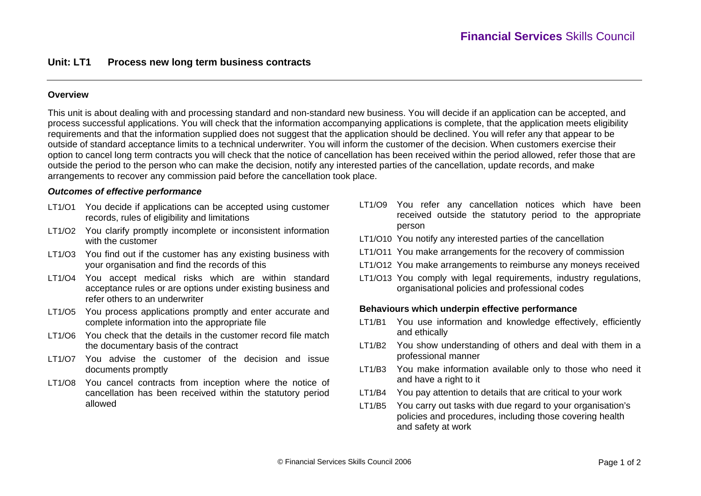## **Overview**

This unit is about dealing with and processing standard and non-standard new business. You will decide if an application can be accepted, and process successful applications. You will check that the information accompanying applications is complete, that the application meets eligibility requirements and that the information supplied does not suggest that the application should be declined. You will refer any that appear to be outside of standard acceptance limits to a technical underwriter. You will inform the customer of the decision. When customers exercise their option to cancel long term contracts you will check that the notice of cancellation has been received within the period allowed, refer those that are outside the period to the person who can make the decision, notify any interested parties of the cancellation, update records, and make arrangements to recover any commission paid before the cancellation took place.

#### *Outcomes of effective performance*

- LT1/O1 You decide if applications can be accepted using customer records, rules of eligibility and limitations
- LT1/O2 You clarify promptly incomplete or inconsistent information with the customer
- LT1/O3 You find out if the customer has any existing business with your organisation and find the records of this
- LT1/O4 You accept medical risks which are within standard acceptance rules or are options under existing business and refer others to an underwriter
- LT1/O5 You process applications promptly and enter accurate and complete information into the appropriate file
- LT1/O6 You check that the details in the customer record file match the documentary basis of the contract
- LT1/O7 You advise the customer of the decision and issue documents promptly
- LT1/O8 You cancel contracts from inception where the notice of cancellation has been received within the statutory period allowed
- LT1/O9 You refer any cancellation notices which have been received outside the statutory period to the appropriate person
- LT1/O10 You notify any interested parties of the cancellation
- LT1/O11 You make arrangements for the recovery of commission
- LT1/O12 You make arrangements to reimburse any moneys received
- LT1/O13 You comply with legal requirements, industry regulations, organisational policies and professional codes

### **Behaviours which underpin effective performance**

- LT1/B1 You use information and knowledge effectively, efficiently and ethically
- LT1/B2 You show understanding of others and deal with them in a professional manner
- LT1/B3 You make information available only to those who need it and have a right to it
- LT1/B4 You pay attention to details that are critical to your work
- LT1/B5 You carry out tasks with due regard to your organisation's policies and procedures, including those covering health and safety at work